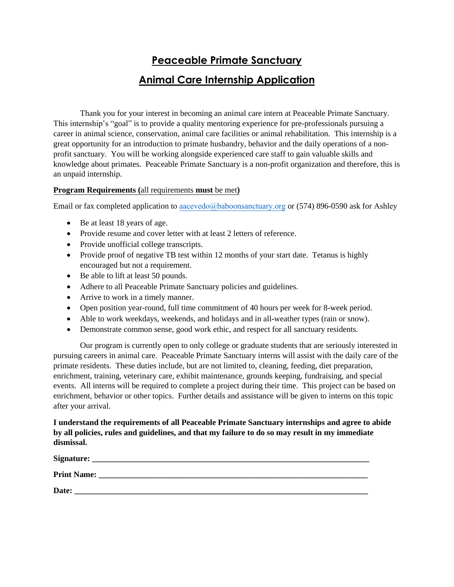## **Peaceable Primate Sanctuary Animal Care Internship Application**

Thank you for your interest in becoming an animal care intern at Peaceable Primate Sanctuary. This internship's "goal" is to provide a quality mentoring experience for pre-professionals pursuing a career in animal science, conservation, animal care facilities or animal rehabilitation. This internship is a great opportunity for an introduction to primate husbandry, behavior and the daily operations of a nonprofit sanctuary. You will be working alongside experienced care staff to gain valuable skills and knowledge about primates. Peaceable Primate Sanctuary is a non-profit organization and therefore, this is an unpaid internship.

## **Program Requirements (**all requirements **must** be met**)**

Email or fax completed application t[o aacevedo@baboonsanctuary.org](mailto:aacevedo@baboonsanctuary.org) or (574) 896-0590 ask for Ashley

- Be at least 18 years of age.
- Provide resume and cover letter with at least 2 letters of reference.
- Provide unofficial college transcripts.
- Provide proof of negative TB test within 12 months of your start date. Tetanus is highly encouraged but not a requirement.
- Be able to lift at least 50 pounds.
- Adhere to all Peaceable Primate Sanctuary policies and guidelines.
- Arrive to work in a timely manner.
- Open position year-round, full time commitment of 40 hours per week for 8-week period.
- Able to work weekdays, weekends, and holidays and in all-weather types (rain or snow).
- Demonstrate common sense, good work ethic, and respect for all sanctuary residents.

Our program is currently open to only college or graduate students that are seriously interested in pursuing careers in animal care. Peaceable Primate Sanctuary interns will assist with the daily care of the primate residents. These duties include, but are not limited to, cleaning, feeding, diet preparation, enrichment, training, veterinary care, exhibit maintenance, grounds keeping, fundraising, and special events. All interns will be required to complete a project during their time. This project can be based on enrichment, behavior or other topics. Further details and assistance will be given to interns on this topic after your arrival.

## **I understand the requirements of all Peaceable Primate Sanctuary internships and agree to abide by all policies, rules and guidelines, and that my failure to do so may result in my immediate dismissal.**

| Signature:         |  |
|--------------------|--|
| <b>Print Name:</b> |  |
| Date:              |  |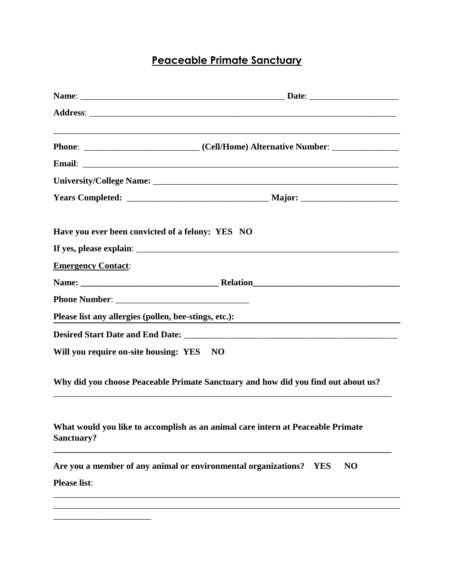## **Peaceable Primate Sanctuary**

| Have you ever been convicted of a felony: YES NO      |                                                                                    |
|-------------------------------------------------------|------------------------------------------------------------------------------------|
|                                                       |                                                                                    |
| <b>Emergency Contact:</b>                             |                                                                                    |
|                                                       |                                                                                    |
|                                                       |                                                                                    |
| Please list any allergies (pollen, bee-stings, etc.): |                                                                                    |
|                                                       |                                                                                    |
| Will you require on-site housing: YES NO              |                                                                                    |
|                                                       | Why did you choose Peaceable Primate Sanctuary and how did you find out about us?  |
| Sanctuary?                                            | What would you like to accomplish as an animal care intern at Peaceable Primate    |
| <b>Please list:</b>                                   | Are you a member of any animal or environmental organizations?<br>NO<br><b>YES</b> |
|                                                       |                                                                                    |